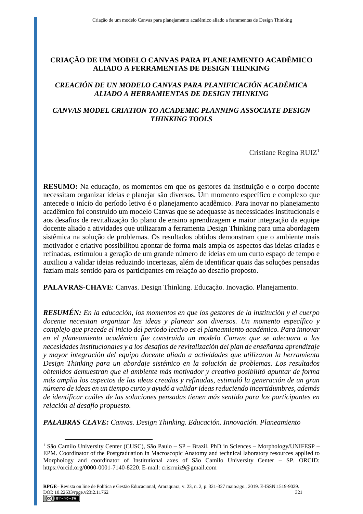# **CRIAÇÃO DE UM MODELO CANVAS PARA PLANEJAMENTO ACADÊMICO ALIADO A FERRAMENTAS DE DESIGN THINKING**

# *CREACIÓN DE UN MODELO CANVAS PARA PLANIFICACIÓN ACADÉMICA ALIADO A HERRAMIENTAS DE DESIGN THINKING*

# *CANVAS MODEL CRIATION TO ACADEMIC PLANNING ASSOCIATE DESIGN THINKING TOOLS*

Cristiane Regina RUIZ<sup>1</sup>

**RESUMO:** Na educação, os momentos em que os gestores da instituição e o corpo docente necessitam organizar ideias e planejar são diversos. Um momento específico e complexo que antecede o início do período letivo é o planejamento acadêmico. Para inovar no planejamento acadêmico foi construído um modelo Canvas que se adequasse às necessidades institucionais e aos desafios de revitalização do plano de ensino aprendizagem e maior integração da equipe docente aliado a atividades que utilizaram a ferramenta Design Thinking para uma abordagem sistêmica na solução de problemas. Os resultados obtidos demonstram que o ambiente mais motivador e criativo possibilitou apontar de forma mais ampla os aspectos das ideias criadas e refinadas, estimulou a geração de um grande número de ideias em um curto espaço de tempo e auxiliou a validar ideias reduzindo incertezas, além de identificar quais das soluções pensadas faziam mais sentido para os participantes em relação ao desafio proposto.

**PALAVRAS-CHAVE**: Canvas. Design Thinking. Educação. Inovação. Planejamento.

*RESUMÉN: En la educación, los momentos en que los gestores de la institución y el cuerpo docente necesitan organizar las ideas y planear son diversos. Un momento específico y complejo que precede el inicio del período lectivo es el planeamiento académico. Para innovar en el planeamiento académico fue construido un modelo Canvas que se adecuara a las necesidades institucionales y a los desafíos de revitalización del plan de enseñanza aprendizaje y mayor integración del equipo docente aliado a actividades que utilizaron la herramienta Design Thinking para un abordaje sistémico en la solución de problemas. Los resultados obtenidos demuestran que el ambiente más motivador y creativo posibilitó apuntar de forma más amplia los aspectos de las ideas creadas y refinadas, estimuló la generación de un gran número de ideas en un tiempo curto y ayudó a validar ideas reduciendo incertidumbres, además de identificar cuáles de las soluciones pensadas tienen más sentido para los participantes en relación al desafío propuesto.*

*PALABRAS CLAVE: Canvas. Design Thinking. Educación. Innovación. Planeamiento*

 $\overline{a}$ 

<sup>1</sup> São Camilo University Center (CUSC), São Paulo – SP – Brazil. PhD in Sciences – Morphology/UNIFESP – EPM. Coordinator of the Postgraduation in Macroscopic Anatomy and technical laboratory resources applied to Morphology and coordinator of Institutional axes of São Camilo University Center – SP. ORCID: https://orcid.org/0000-0001-7140-8220. E-mail: crisrruiz9@gmail.com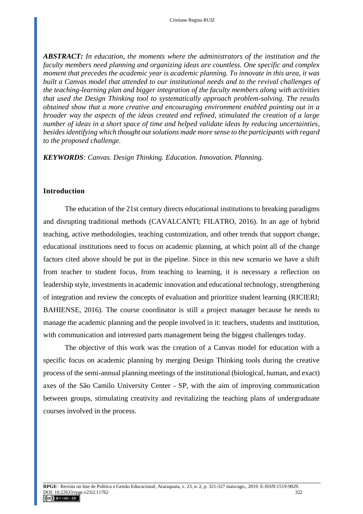*ABSTRACT: In education, the moments where the administrators of the institution and the faculty members need planning and organizing ideas are countless. One specific and complex moment that precedes the academic year is academic planning. To innovate in this area, it was built a Canvas model that attended to our institutional needs and to the revival challenges of the teaching-learning plan and bigger integration of the faculty members along with activities that used the Design Thinking tool to systematically approach problem-solving. The results obtained show that a more creative and encouraging environment enabled pointing out in a broader way the aspects of the ideas created and refined, stimulated the creation of a large number of ideas in a short space of time and helped validate ideas by reducing uncertainties, besides identifying which thought out solutions made more sense to the participants with regard to the proposed challenge.*

*KEYWORDS: Canvas. Design Thinking. Education. Innovation. Planning.*

### **Introduction**

The education of the 21st century directs educational institutions to breaking paradigms and disrupting traditional methods (CAVALCANTI; FILATRO, 2016). In an age of hybrid teaching, active methodologies, teaching customization, and other trends that support change, educational institutions need to focus on academic planning, at which point all of the change factors cited above should be put in the pipeline. Since in this new scenario we have a shift from teacher to student focus, from teaching to learning, it is necessary a reflection on leadership style, investments in academic innovation and educational technology, strengthening of integration and review the concepts of evaluation and prioritize student learning (RICIERI; BAHIENSE, 2016). The course coordinator is still a project manager because he needs to manage the academic planning and the people involved in it: teachers, students and institution, with communication and interested parts management being the biggest challenges today.

The objective of this work was the creation of a Canvas model for education with a specific focus on academic planning by merging Design Thinking tools during the creative process of the semi-annual planning meetings of the institutional (biological, human, and exact) axes of the São Camilo University Center - SP, with the aim of improving communication between groups, stimulating creativity and revitalizing the teaching plans of undergraduate courses involved in the process.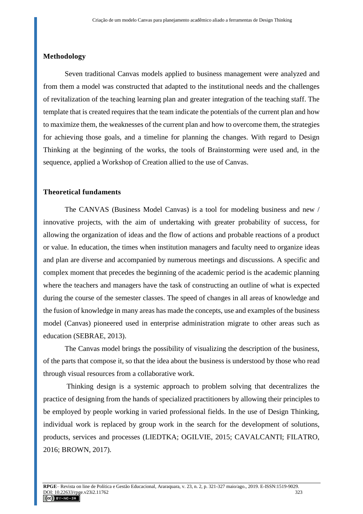### **Methodology**

Seven traditional Canvas models applied to business management were analyzed and from them a model was constructed that adapted to the institutional needs and the challenges of revitalization of the teaching learning plan and greater integration of the teaching staff. The template that is created requires that the team indicate the potentials of the current plan and how to maximize them, the weaknesses of the current plan and how to overcome them, the strategies for achieving those goals, and a timeline for planning the changes. With regard to Design Thinking at the beginning of the works, the tools of Brainstorming were used and, in the sequence, applied a Workshop of Creation allied to the use of Canvas.

#### **Theoretical fundaments**

The CANVAS (Business Model Canvas) is a tool for modeling business and new / innovative projects, with the aim of undertaking with greater probability of success, for allowing the organization of ideas and the flow of actions and probable reactions of a product or value. In education, the times when institution managers and faculty need to organize ideas and plan are diverse and accompanied by numerous meetings and discussions. A specific and complex moment that precedes the beginning of the academic period is the academic planning where the teachers and managers have the task of constructing an outline of what is expected during the course of the semester classes. The speed of changes in all areas of knowledge and the fusion of knowledge in many areas has made the concepts, use and examples of the business model (Canvas) pioneered used in enterprise administration migrate to other areas such as education (SEBRAE, 2013).

The Canvas model brings the possibility of visualizing the description of the business, of the parts that compose it, so that the idea about the business is understood by those who read through visual resources from a collaborative work.

Thinking design is a systemic approach to problem solving that decentralizes the practice of designing from the hands of specialized practitioners by allowing their principles to be employed by people working in varied professional fields. In the use of Design Thinking, individual work is replaced by group work in the search for the development of solutions, products, services and processes (LIEDTKA; OGILVIE, 2015; CAVALCANTI; FILATRO, 2016; BROWN, 2017).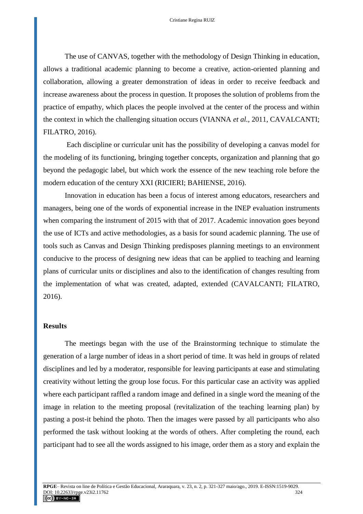The use of CANVAS, together with the methodology of Design Thinking in education, allows a traditional academic planning to become a creative, action-oriented planning and collaboration, allowing a greater demonstration of ideas in order to receive feedback and increase awareness about the process in question. It proposes the solution of problems from the practice of empathy, which places the people involved at the center of the process and within the context in which the challenging situation occurs (VIANNA *et al.*, 2011, CAVALCANTI; FILATRO, 2016).

Each discipline or curricular unit has the possibility of developing a canvas model for the modeling of its functioning, bringing together concepts, organization and planning that go beyond the pedagogic label, but which work the essence of the new teaching role before the modern education of the century XXI (RICIERI; BAHIENSE, 2016).

Innovation in education has been a focus of interest among educators, researchers and managers, being one of the words of exponential increase in the INEP evaluation instruments when comparing the instrument of 2015 with that of 2017. Academic innovation goes beyond the use of ICTs and active methodologies, as a basis for sound academic planning. The use of tools such as Canvas and Design Thinking predisposes planning meetings to an environment conducive to the process of designing new ideas that can be applied to teaching and learning plans of curricular units or disciplines and also to the identification of changes resulting from the implementation of what was created, adapted, extended (CAVALCANTI; FILATRO, 2016).

### **Results**

The meetings began with the use of the Brainstorming technique to stimulate the generation of a large number of ideas in a short period of time. It was held in groups of related disciplines and led by a moderator, responsible for leaving participants at ease and stimulating creativity without letting the group lose focus. For this particular case an activity was applied where each participant raffled a random image and defined in a single word the meaning of the image in relation to the meeting proposal (revitalization of the teaching learning plan) by pasting a post-it behind the photo. Then the images were passed by all participants who also performed the task without looking at the words of others. After completing the round, each participant had to see all the words assigned to his image, order them as a story and explain the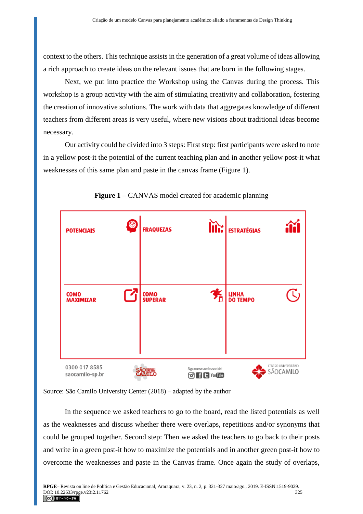context to the others. This technique assists in the generation of a great volume of ideas allowing a rich approach to create ideas on the relevant issues that are born in the following stages.

Next, we put into practice the Workshop using the Canvas during the process. This workshop is a group activity with the aim of stimulating creativity and collaboration, fostering the creation of innovative solutions. The work with data that aggregates knowledge of different teachers from different areas is very useful, where new visions about traditional ideas become necessary.

Our activity could be divided into 3 steps: First step: first participants were asked to note in a yellow post-it the potential of the current teaching plan and in another yellow post-it what weaknesses of this same plan and paste in the canvas frame (Figure 1).



**Figure 1** – CANVAS model created for academic planning

Source: São Camilo University Center (2018) – adapted by the author

In the sequence we asked teachers to go to the board, read the listed potentials as well as the weaknesses and discuss whether there were overlaps, repetitions and/or synonyms that could be grouped together. Second step: Then we asked the teachers to go back to their posts and write in a green post-it how to maximize the potentials and in another green post-it how to overcome the weaknesses and paste in the Canvas frame. Once again the study of overlaps,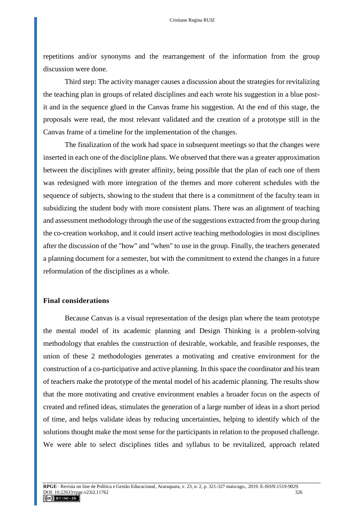repetitions and/or synonyms and the rearrangement of the information from the group discussion were done.

Third step: The activity manager causes a discussion about the strategies for revitalizing the teaching plan in groups of related disciplines and each wrote his suggestion in a blue postit and in the sequence glued in the Canvas frame his suggestion. At the end of this stage, the proposals were read, the most relevant validated and the creation of a prototype still in the Canvas frame of a timeline for the implementation of the changes.

The finalization of the work had space in subsequent meetings so that the changes were inserted in each one of the discipline plans. We observed that there was a greater approximation between the disciplines with greater affinity, being possible that the plan of each one of them was redesigned with more integration of the themes and more coherent schedules with the sequence of subjects, showing to the student that there is a commitment of the faculty team in subsidizing the student body with more consistent plans. There was an alignment of teaching and assessment methodology through the use of the suggestions extracted from the group during the co-creation workshop, and it could insert active teaching methodologies in most disciplines after the discussion of the "how" and "when" to use in the group. Finally, the teachers generated a planning document for a semester, but with the commitment to extend the changes in a future reformulation of the disciplines as a whole.

## **Final considerations**

Because Canvas is a visual representation of the design plan where the team prototype the mental model of its academic planning and Design Thinking is a problem-solving methodology that enables the construction of desirable, workable, and feasible responses, the union of these 2 methodologies generates a motivating and creative environment for the construction of a co-participative and active planning. In this space the coordinator and his team of teachers make the prototype of the mental model of his academic planning. The results show that the more motivating and creative environment enables a broader focus on the aspects of created and refined ideas, stimulates the generation of a large number of ideas in a short period of time, and helps validate ideas by reducing uncertainties, helping to identify which of the solutions thought make the most sense for the participants in relation to the proposed challenge. We were able to select disciplines titles and syllabus to be revitalized, approach related